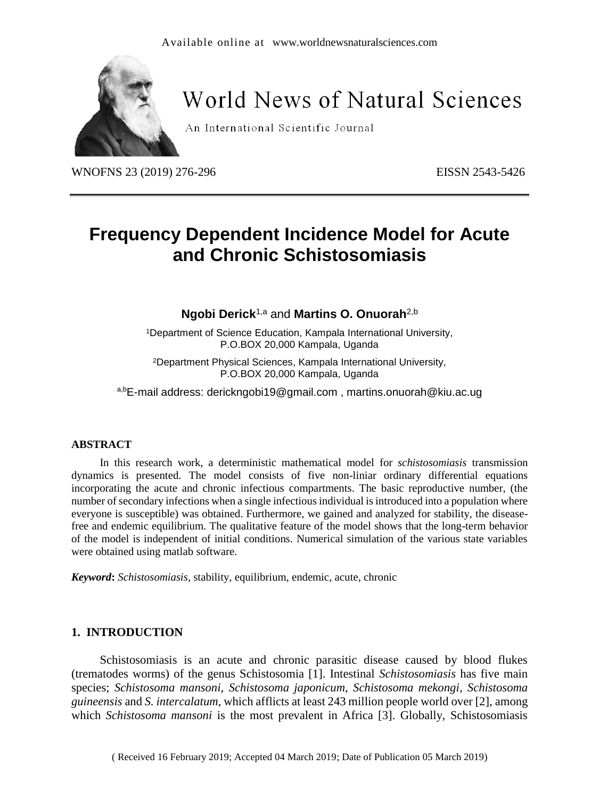

# **World News of Natural Sciences**

An International Scientific Journal

WNOFNS 23 (2019) 276-296 EISSN 2543-5426

## **Frequency Dependent Incidence Model for Acute and Chronic Schistosomiasis**

**Ngobi Derick**1,a and **Martins O. Onuorah**2,b

<sup>1</sup>Department of Science Education, Kampala International University, P.O.BOX 20,000 Kampala, Uganda

<sup>2</sup>Department Physical Sciences, Kampala International University, P.O.BOX 20,000 Kampala, Uganda

a,bE-mail address: [derickngobi19@gmail.com](mailto:derickngobi19@gmail.com) , [martins.onuorah@kiu.ac.ug](mailto:martins.onuorah@kiu.ac.ug)

## **ABSTRACT**

In this research work, a deterministic mathematical model for *schistosomiasis* transmission dynamics is presented. The model consists of five non-liniar ordinary differential equations incorporating the acute and chronic infectious compartments. The basic reproductive number, (the number of secondary infections when a single infectious individual is introduced into a population where everyone is susceptible) was obtained. Furthermore, we gained and analyzed for stability, the diseasefree and endemic equilibrium. The qualitative feature of the model shows that the long-term behavior of the model is independent of initial conditions. Numerical simulation of the various state variables were obtained using matlab software.

*Keyword***:** *Schistosomiasis*, stability, equilibrium, endemic, acute, chronic

## **1. INTRODUCTION**

Schistosomiasis is an acute and chronic parasitic disease caused by blood flukes (trematodes worms) of the genus Schistosomia [1]. Intestinal *Schistosomiasis* has five main species; *Schistosoma mansoni, Schistosoma japonicum*, *Schistosoma mekongi, Schistosoma guineensis* and *S. intercalatum*, which afflicts at least 243 million people world over [2], among which *Schistosoma mansoni* is the most prevalent in Africa [3]. Globally, Schistosomiasis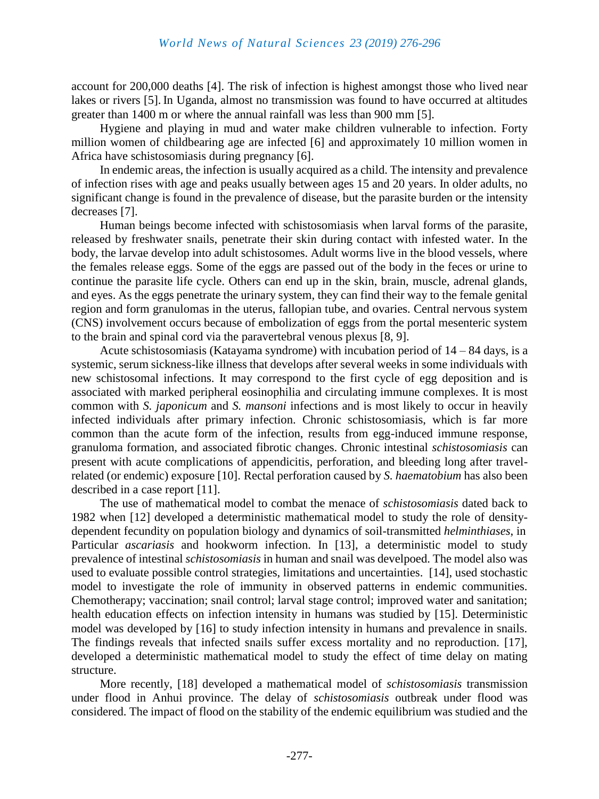account for 200,000 deaths [4]. The risk of infection is highest amongst those who lived near lakes or rivers [5]. In Uganda, almost no transmission was found to have occurred at altitudes greater than 1400 m or where the annual rainfall was less than 900 mm [5].

Hygiene and playing in mud and water make children vulnerable to infection. Forty million women of childbearing age are infected [6] and approximately 10 million women in Africa have schistosomiasis during pregnancy [6].

In endemic areas, the infection is usually acquired as a child. The intensity and prevalence of infection rises with age and peaks usually between ages 15 and 20 years. In older adults, no significant change is found in the prevalence of disease, but the parasite burden or the intensity decreases [7].

Human beings become infected with schistosomiasis when larval forms of the parasite, released by freshwater snails, penetrate their skin during contact with infested water. In the body, the larvae develop into adult schistosomes. Adult worms live in the blood vessels, where the females release eggs. Some of the eggs are passed out of the body in the feces or urine to continue the parasite life cycle. Others can end up in the skin, brain, muscle, adrenal glands, and eyes. As the eggs penetrate the urinary system, they can find their way to the female genital region and form granulomas in the uterus, fallopian tube, and ovaries. Central nervous system (CNS) involvement occurs because of embolization of eggs from the portal mesenteric system to the brain and spinal cord via the paravertebral venous plexus [8, 9].

Acute schistosomiasis (Katayama syndrome) with incubation period of  $14 - 84$  days, is a systemic, serum sickness-like illness that develops after several weeks in some individuals with new schistosomal infections. It may correspond to the first cycle of egg deposition and is associated with marked peripheral eosinophilia and circulating immune complexes. It is most common with *S. japonicum* and *S. mansoni* infections and is most likely to occur in heavily infected individuals after primary infection. Chronic schistosomiasis, which is far more common than the acute form of the infection, results from egg-induced immune response, granuloma formation, and associated fibrotic changes. Chronic intestinal *schistosomiasis* can present with acute complications of appendicitis, perforation, and bleeding long after travelrelated (or endemic) exposure [10]. Rectal perforation caused by *S. haematobium* has also been described in a case report [11].

The use of mathematical model to combat the menace of *schistosomiasis* dated back to 1982 when [12] developed a deterministic mathematical model to study the role of densitydependent fecundity on population biology and dynamics of soil-transmitted *helminthiases*, in Particular *ascariasis* and hookworm infection. In [13], a deterministic model to study prevalence of intestinal *schistosomiasis* in human and snail was develpoed. The model also was used to evaluate possible control strategies, limitations and uncertainties. [14], used stochastic model to investigate the role of immunity in observed patterns in endemic communities. Chemotherapy; vaccination; snail control; larval stage control; improved water and sanitation; health education effects on infection intensity in humans was studied by [15]. Deterministic model was developed by [16] to study infection intensity in humans and prevalence in snails. The findings reveals that infected snails suffer excess mortality and no reproduction. [17], developed a deterministic mathematical model to study the effect of time delay on mating structure.

More recently, [18] developed a mathematical model of *schistosomiasis* transmission under flood in Anhui province. The delay of *schistosomiasis* outbreak under flood was considered. The impact of flood on the stability of the endemic equilibrium was studied and the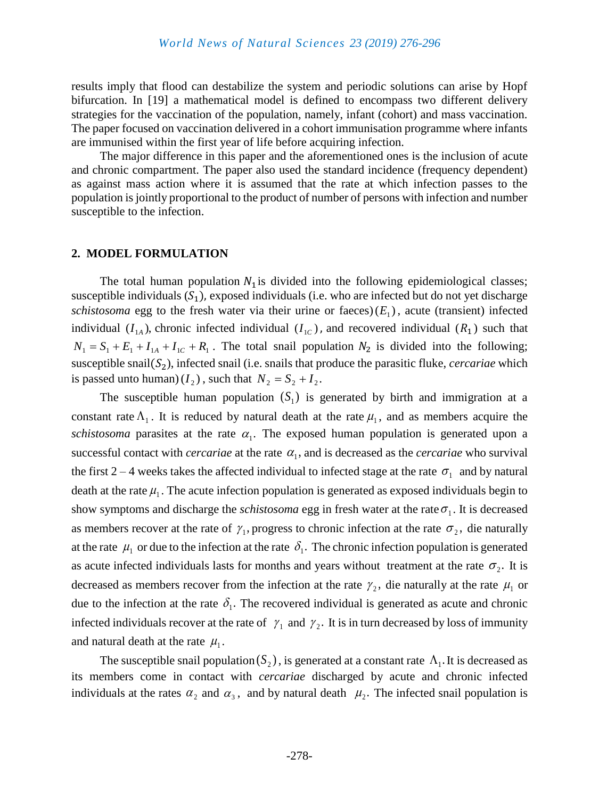results imply that flood can destabilize the system and periodic solutions can arise by Hopf bifurcation. In [19] a mathematical model is defined to encompass two different delivery strategies for the vaccination of the population, namely, infant (cohort) and mass vaccination. The paper focused on vaccination delivered in a cohort immunisation programme where infants are immunised within the first year of life before acquiring infection.

The major difference in this paper and the aforementioned ones is the inclusion of acute and chronic compartment. The paper also used the standard incidence (frequency dependent) as against mass action where it is assumed that the rate at which infection passes to the population is jointly proportional to the product of number of persons with infection and number susceptible to the infection.

#### **2. MODEL FORMULATION**

The total human population  $N_1$  is divided into the following epidemiological classes; susceptible individuals  $(S_1)$ , exposed individuals (i.e. who are infected but do not yet discharge schistosoma egg to the fresh water via their urine or faeces) $(E_1)$ , acute (transient) infected individual  $(I_{1A})$ , chronic infected individual  $(I_{1C})$ , and recovered individual  $(R_1)$  such that  $N_1 = S_1 + E_1 + I_{1A} + I_{1C} + R_1$ . The total snail population  $N_2$  is divided into the following; susceptible snail $(S_2)$ , infected snail (i.e. snails that produce the parasitic fluke, *cercariae* which is passed unto human)  $(I_2)$ , such that  $N_2 = S_2 + I_2$ .

The susceptible human population  $(S_1)$  is generated by birth and immigration at a constant rate  $\Lambda_1$ . It is reduced by natural death at the rate  $\mu_1$ , and as members acquire the schistosoma parasites at the rate  $\alpha_1$ . The exposed human population is generated upon a successful contact with *cercariae* at the rate  $\alpha_1$ , and is decreased as the *cercariae* who survival the first 2 – 4 weeks takes the affected individual to infected stage at the rate  $\sigma_1$  and by natural death at the rate  $\mu_1$ . The acute infection population is generated as exposed individuals begin to show symptoms and discharge the *schistosoma* egg in fresh water at the rate  $\sigma_1$ . It is decreased as members recover at the rate of  $\gamma_1$ , progress to chronic infection at the rate  $\sigma_2$ , die naturally at the rate  $\mu_1$  or due to the infection at the rate  $\delta_1$ . The chronic infection population is generated as acute infected individuals lasts for months and years without treatment at the rate  $\sigma_2$ . It is decreased as members recover from the infection at the rate  $\gamma_2$ , die naturally at the rate  $\mu_1$  or due to the infection at the rate  $\delta_1$ . The recovered individual is generated as acute and chronic infected individuals recover at the rate of  $\gamma_1$  and  $\gamma_2$ . It is in turn decreased by loss of immunity and natural death at the rate  $\mu_1$ .

The susceptible snail population  $(S_2)$ , is generated at a constant rate  $\Lambda_1$ . It is decreased as its members come in contact with *cercariae* discharged by acute and chronic infected individuals at the rates  $\alpha_2$  and  $\alpha_3$ , and by natural death  $\mu_2$ . The infected snail population is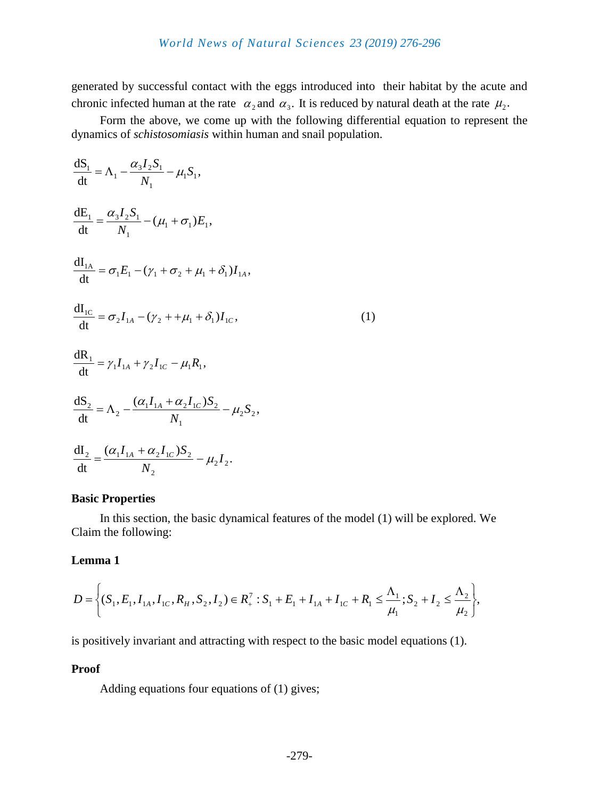generated by successful contact with the eggs introduced into their habitat by the acute and chronic infected human at the rate  $\alpha_2$  and  $\alpha_3$ . It is reduced by natural death at the rate  $\mu_2$ .

Form the above, we come up with the following differential equation to represent the dynamics of *schistosomiasis* within human and snail population.

$$
\frac{dS_1}{dt} = \Lambda_1 - \frac{\alpha_3 I_2 S_1}{N_1} - \mu_1 S_1,
$$
\n
$$
\frac{dE_1}{dt} = \frac{\alpha_3 I_2 S_1}{N_1} - (\mu_1 + \sigma_1) E_1,
$$
\n
$$
\frac{dI_{1A}}{dt} = \sigma_1 E_1 - (\gamma_1 + \sigma_2 + \mu_1 + \delta_1) I_{1A},
$$
\n
$$
\frac{dI_{1C}}{dt} = \sigma_2 I_{1A} - (\gamma_2 + \mu_1 + \delta_1) I_{1C},
$$
\n
$$
\frac{dR_1}{dt} = \gamma_1 I_{1A} + \gamma_2 I_{1C} - \mu_1 R_1,
$$
\n
$$
\frac{dS_2}{dt} = \Lambda_2 - \frac{(\alpha_1 I_{1A} + \alpha_2 I_{1C}) S_2}{N_1} - \mu_2 S_2,
$$
\n(1)

$$
\frac{dI_2}{dt} = \frac{(\alpha_1 I_{1A} + \alpha_2 I_{1C})S_2}{N_2} - \mu_2 I_2.
$$

#### **Basic Properties**

In this section, the basic dynamical features of the model (1) will be explored. We Claim the following:

#### **Lemma 1**

$$
D = \left\{ (S_1, E_1, I_{1A}, I_{1C}, R_H, S_2, I_2) \in R_+^7 : S_1 + E_1 + I_{1A} + I_{1C} + R_1 \leq \frac{\Lambda_1}{\mu_1}; S_2 + I_2 \leq \frac{\Lambda_2}{\mu_2} \right\},\
$$

is positively invariant and attracting with respect to the basic model equations (1).

## **Proof**

Adding equations four equations of (1) gives;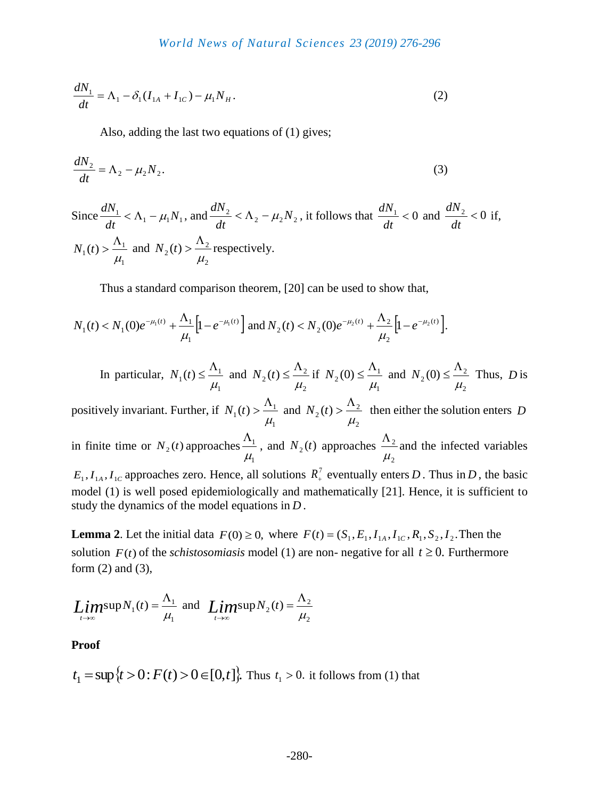$$
\frac{dN_1}{dt} = \Lambda_1 - \delta_1 (I_{1A} + I_{1C}) - \mu_1 N_H.
$$
 (2)

Also, adding the last two equations of (1) gives:

$$
\frac{dN_2}{dt} = \Lambda_2 - \mu_2 N_2. \tag{3}
$$

Since 
$$
\frac{dN_1}{dt} < \Lambda_1 - \mu_1 N_1
$$
, and  $\frac{dN_2}{dt} < \Lambda_2 - \mu_2 N_2$ , it follows that  $\frac{dN_1}{dt} < 0$  and  $\frac{dN_2}{dt} < 0$  if,  
\n $N_1(t) > \frac{\Lambda_1}{\mu_1}$  and  $N_2(t) > \frac{\Lambda_2}{\mu_2}$  respectively.

Thus a standard comparison theorem, [20] can be used to show that,

$$
N_1(t) < N_1(0)e^{-\mu_1(t)} + \frac{\Lambda_1}{\mu_1} \Big[ 1 - e^{-\mu_1(t)} \Big] \text{ and } N_2(t) < N_2(0)e^{-\mu_2(t)} + \frac{\Lambda_2}{\mu_2} \Big[ 1 - e^{-\mu_2(t)} \Big].
$$

In particular, 
$$
N_1(t) \le \frac{\Lambda_1}{\mu_1}
$$
 and  $N_2(t) \le \frac{\Lambda_2}{\mu_2}$  if  $N_2(0) \le \frac{\Lambda_1}{\mu_1}$  and  $N_2(0) \le \frac{\Lambda_2}{\mu_2}$  Thus, *D* is

positively invariant. Further, if 1 1  $\mathbf{r}_1(t)$  $\mu$  $\Lambda$  $N_1(t) > \frac{N_1}{t}$  and 2 2  $\mathbf{z}_2(t)$  $\mu$  $\Lambda$  $N_2(t) > \frac{N_2}{t}$  then either the solution enters *D* in finite time or  $N_2(t)$  approaches 1 1  $\mu_{\text{I}}$  $\Lambda$ , and  $N_2(t)$  approaches 2 2  $\mu$  $\Lambda$  $N_2(t)$  approaches  $\frac{N_1}{t}$ , and  $N_2(t)$  approaches  $\frac{N_2}{t}$  and the infected variables

 $E_1, I_{1A}, I_{1C}$  approaches zero. Hence, all solutions  $R_+^7$  eventually enters *D*. Thus in *D*, the basic model (1) is well posed epidemiologically and mathematically [21]. Hence, it is sufficient to study the dynamics of the model equations in *D* .

**Lemma 2**. Let the initial data  $F(0) \ge 0$ , where  $F(t) = (S_1, E_1, I_{1A}, I_{1C}, R_1, S_2, I_2)$ . Then the solution  $F(t)$  of the *schistosomiasis* model (1) are non-negative for all  $t \ge 0$ . Furthermore form (2) and (3),

$$
Lim_{t\to\infty} \sup N_1(t) = \frac{\Lambda_1}{\mu_1} \text{ and } Lim_{t\to\infty} \sup N_2(t) = \frac{\Lambda_2}{\mu_2}
$$

**Proof** 

$$
t_1 = \sup \{t > 0 : F(t) > 0 \in [0, t]\}
$$
. Thus  $t_1 > 0$ . it follows from (1) that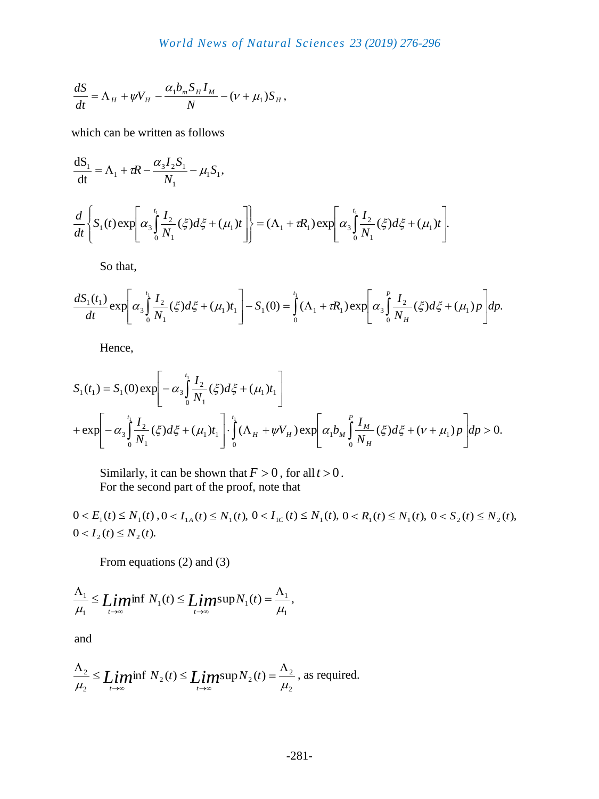$$
\frac{dS}{dt} = \Lambda_H + \psi V_H - \frac{\alpha_1 b_m S_H I_M}{N} - (\nu + \mu_1) S_H,
$$

which can be written as follows

$$
\frac{dS_1}{dt} = \Lambda_1 + \tau R - \frac{\alpha_3 I_2 S_1}{N_1} - \mu_1 S_1,
$$
\n
$$
\frac{d}{dt} \left\{ S_1(t) \exp \left[ \alpha_3 \int_0^t \frac{I_2}{N_1} (\xi) d\xi + (\mu_1) t \right] \right\} = (\Lambda_1 + \tau R_1) \exp \left[ \alpha_3 \int_0^t \frac{I_2}{N_1} (\xi) d\xi + (\mu_1) t \right].
$$

So that,

$$
\frac{dS_1(t_1)}{dt} \exp \left[ \alpha_3 \int_0^{t_1} \frac{I_2}{N_1} (\xi) d\xi + (\mu_1) t_1 \right] - S_1(0) = \int_0^{t_1} (\Lambda_1 + \tau R_1) \exp \left[ \alpha_3 \int_0^P \frac{I_2}{N_H} (\xi) d\xi + (\mu_1) p \right] dp.
$$

Hence,

$$
S_1(t_1) = S_1(0) \exp \left[ -\alpha_3 \int_0^{t_1} \frac{I_2}{N_1} (\xi) d\xi + (\mu_1) t_1 \right]
$$
  
+ 
$$
\exp \left[ -\alpha_3 \int_0^{t_1} \frac{I_2}{N_1} (\xi) d\xi + (\mu_1) t_1 \right] \cdot \int_0^{t_1} (\Lambda_H + \psi V_H) \exp \left[ \alpha_1 b_M \int_0^P \frac{I_M}{N_H} (\xi) d\xi + (\nu + \mu_1) p \right] dp > 0.
$$

Similarly, it can be shown that  $F > 0$ , for all  $t > 0$ . For the second part of the proof, note that

 $0 < E_1(t) \le N_1(t)$ ,  $0 < I_{1A}(t) \le N_1(t)$ ,  $0 < I_{1C}(t) \le N_1(t)$ ,  $0 < R_1(t) \le N_1(t)$ ,  $0 < S_2(t) \le N_2(t)$ ,  $0 < I_2(t) \le N_2(t)$ .

From equations (2) and (3)

$$
\frac{\Lambda_1}{\mu_1} \leq \liminf_{t \to \infty} N_1(t) \leq \limsup_{t \to \infty} N_1(t) = \frac{\Lambda_1}{\mu_1},
$$

and

$$
\frac{\Lambda_2}{\mu_2} \leq \liminf_{t \to \infty} N_2(t) \leq \limsup_{t \to \infty} N_2(t) = \frac{\Lambda_2}{\mu_2}
$$
, as required.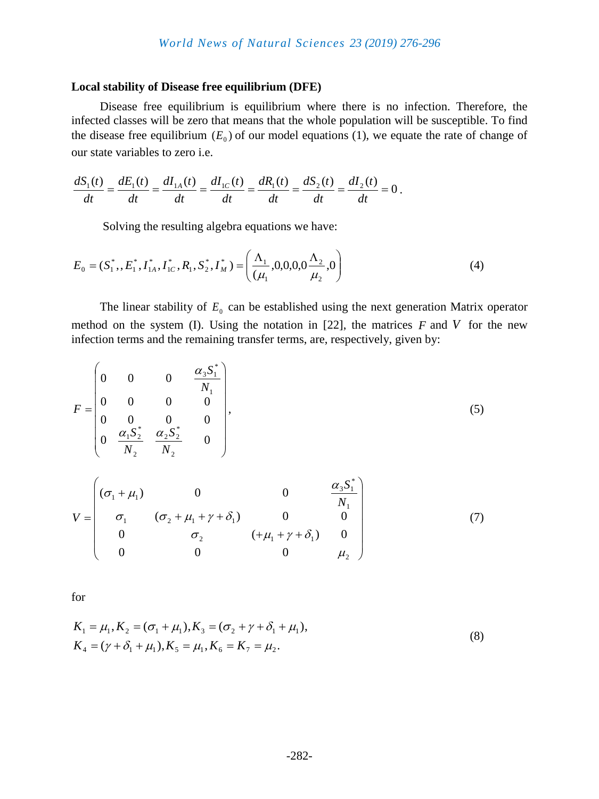#### **Local stability of Disease free equilibrium (DFE)**

Disease free equilibrium is equilibrium where there is no infection. Therefore, the infected classes will be zero that means that the whole population will be susceptible. To find the disease free equilibrium  $(E_0)$  of our model equations (1), we equate the rate of change of our state variables to zero i.e.

$$
\frac{dS_1(t)}{dt} = \frac{dE_1(t)}{dt} = \frac{dI_{1A}(t)}{dt} = \frac{dI_{1C}(t)}{dt} = \frac{dR_1(t)}{dt} = \frac{dS_2(t)}{dt} = \frac{dI_2(t)}{dt} = 0.
$$

Solving the resulting algebra equations we have:

$$
E_0 = (S_1^*, E_1^*, I_{1A}^*, I_{1C}^*, R_1, S_2^*, I_M^*) = \left(\frac{\Lambda_1}{(\mu_1}, 0, 0, 0, 0, 0, \frac{\Lambda_2}{\mu_2}, 0)\right)
$$
(4)

The linear stability of  $E_0$  can be established using the next generation Matrix operator method on the system (I). Using the notation in  $[22]$ , the matrices  $F$  and  $V$  for the new infection terms and the remaining transfer terms, are, respectively, given by:

$$
F = \begin{pmatrix} 0 & 0 & 0 & \frac{\alpha_3 S_1^*}{N_1} \\ 0 & 0 & 0 & 0 \\ 0 & 0 & 0 & 0 \\ 0 & \frac{\alpha_1 S_2^*}{N_2} & \frac{\alpha_2 S_2^*}{N_2} & 0 \end{pmatrix},
$$
(5)

$$
V = \begin{pmatrix} (\sigma_1 + \mu_1) & 0 & 0 & \frac{\alpha_3 S_1^*}{N_1} \\ \sigma_1 & (\sigma_2 + \mu_1 + \gamma + \delta_1) & 0 & 0 \\ 0 & \sigma_2 & (+\mu_1 + \gamma + \delta_1) & 0 \\ 0 & 0 & 0 & \mu_2 \end{pmatrix}
$$
(7)

for

$$
K_1 = \mu_1, K_2 = (\sigma_1 + \mu_1), K_3 = (\sigma_2 + \gamma + \delta_1 + \mu_1),
$$
  
\n
$$
K_4 = (\gamma + \delta_1 + \mu_1), K_5 = \mu_1, K_6 = K_7 = \mu_2.
$$
\n(8)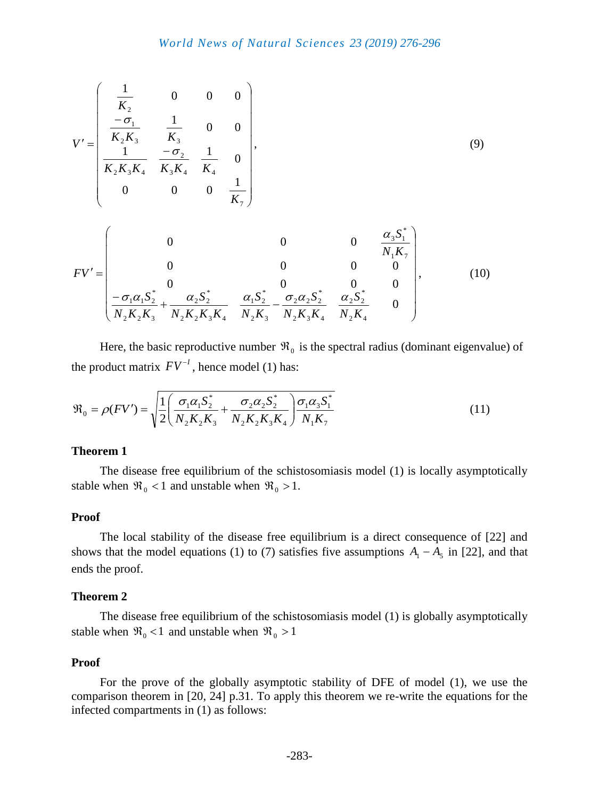$$
V' = \begin{pmatrix} \frac{1}{K_2} & 0 & 0 & 0 \\ \frac{-\sigma_1}{K_2 K_3} & \frac{1}{K_3} & 0 & 0 \\ \frac{1}{K_2 K_3 K_4} & \frac{-\sigma_2}{K_3 K_4} & \frac{1}{K_4} & 0 \\ 0 & 0 & 0 & \frac{1}{K_7} \end{pmatrix},
$$
(9)

$$
FV' = \begin{pmatrix} 0 & 0 & 0 & \frac{\alpha_3 S_1^*}{N_1 K_7} \\ 0 & 0 & 0 & 0 \\ 0 & 0 & 0 & 0 \\ \frac{-\sigma_1 \alpha_1 S_2^*}{N_2 K_2 K_3} + \frac{\alpha_2 S_2^*}{N_2 K_2 K_3 K_4} & \frac{\alpha_1 S_2^*}{N_2 K_3} - \frac{\sigma_2 \alpha_2 S_2^*}{N_2 K_3 K_4} & \frac{\alpha_2 S_2^*}{N_2 K_4} & 0 \end{pmatrix},
$$
(10)

Here, the basic reproductive number  $\mathfrak{R}_0$  is the spectral radius (dominant eigenvalue) of the product matrix  $FV^{-1}$ , hence model (1) has:

$$
\mathfrak{R}_0 = \rho(FV') = \sqrt{\frac{1}{2} \left( \frac{\sigma_1 \alpha_1 S_2^*}{N_2 K_2 K_3} + \frac{\sigma_2 \alpha_2 S_2^*}{N_2 K_2 K_3 K_4} \right) \frac{\sigma_1 \alpha_3 S_1^*}{N_1 K_7}}
$$
(11)

#### **Theorem 1**

The disease free equilibrium of the schistosomiasis model (1) is locally asymptotically stable when  $\Re_0 < 1$  and unstable when  $\Re_0 > 1$ .

#### **Proof**

The local stability of the disease free equilibrium is a direct consequence of [22] and shows that the model equations (1) to (7) satisfies five assumptions  $A_1 - A_5$  in [22], and that ends the proof.

#### **Theorem 2**

The disease free equilibrium of the schistosomiasis model (1) is globally asymptotically stable when  $\Re_0 < 1$  and unstable when  $\Re_0 > 1$ 

#### **Proof**

For the prove of the globally asymptotic stability of DFE of model (1), we use the comparison theorem in [20, 24] p.31. To apply this theorem we re-write the equations for the infected compartments in (1) as follows: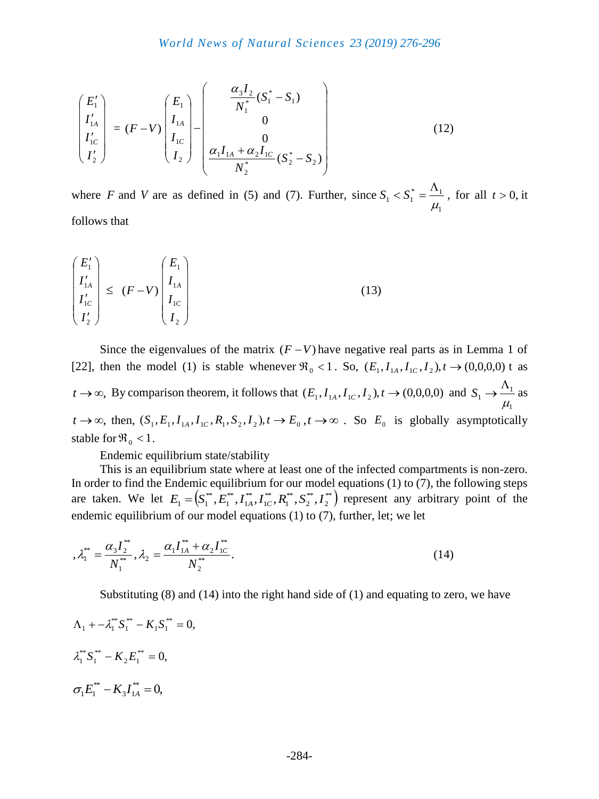$$
\begin{pmatrix}\nE_1' \\
I_{1A}' \\
I_{1C}' \\
I_2'\n\end{pmatrix} = (F - V) \begin{pmatrix}\nE_1 \\
I_{1A} \\
I_{1C} \\
I_2\n\end{pmatrix} - \begin{pmatrix}\n\frac{\alpha_3 I_2}{N_1^*} (S_1^* - S_1) \\
0 \\
0 \\
\frac{\alpha_1 I_{1A} + \alpha_2 I_{1C}}{N_2^*} (S_2^* - S_2)\n\end{pmatrix}
$$
\n(12)

where  $F$  and  $V$  are as defined in (5) and (7). Further, since 1  $\alpha^*$   $\alpha_1$  $1 - \frac{1}{\mu} - \frac{1}{\mu}$  $\Lambda$  $S_1 < S_1^* = \frac{A_1}{A_1}$ , for all  $t > 0$ , it follows that

$$
\begin{pmatrix} E_1' \\ I_{1A}' \\ I_{1C}' \\ I_2' \end{pmatrix} \leq (F - V) \begin{pmatrix} E_1 \\ I_{1A} \\ I_{1C} \\ I_2 \end{pmatrix}
$$
\n(13)

Since the eigenvalues of the matrix  $(F - V)$  have negative real parts as in Lemma 1 of [22], then the model (1) is stable whenever  $\Re_0 < 1$ . So,  $(E_1, I_{1A}, I_{1C}, I_2)$ ,  $t \to (0,0,0,0)$  t as  $t \to \infty$ , By comparison theorem, it follows that  $(E_1, I_{1A}, I_{1C}, I_2), t \to (0,0,0,0)$  and  $\overline{1}$ 1  $1$   $\mu$  $\Lambda$  $S_1 \rightarrow \frac{4A_1}{1}$  as  $t \to \infty$ , then,  $(S_1, E_1, I_{1A}, I_{1C}, R_1, S_2, I_2), t \to E_0, t \to \infty$ . So  $E_0$  is globally asymptotically stable for  $\Re_0 < 1$ .

Endemic equilibrium state/stability

This is an equilibrium state where at least one of the infected compartments is non-zero. In order to find the Endemic equilibrium for our model equations  $(1)$  to  $(7)$ , the following steps are taken. We let  $E_1 = (S_1^{**}, E_1^{**}, I_{14}^{**}, I_{1C}^{**}, R_1^{**}, S_2^{**}, I_2^{**})$ 2 \*\* 2 \*\* 1 \*\* 1 \*\* 1 \*\* 1  $E_1 = (S_1^{**}, E_1^{**}, I_{1A}^{**}, I_{1C}^{**}, R_1^{**}, S_2^{**}, I_2^{**})$  represent any arbitrary point of the endemic equilibrium of our model equations (1) to (7), further, let; we let

$$
\mathcal{A}_{1}^{**} = \frac{\alpha_{3} I_{2}^{**}}{N_{1}^{**}}, \lambda_{2} = \frac{\alpha_{1} I_{1A}^{**} + \alpha_{2} I_{1C}^{**}}{N_{2}^{**}}.
$$
\n(14)

Substituting (8) and (14) into the right hand side of (1) and equating to zero, we have

$$
\Lambda_1 + -\lambda_1^{**} S_1^{**} - K_1 S_1^{**} = 0,
$$
  

$$
\lambda_1^{**} S_1^{**} - K_2 E_1^{**} = 0,
$$
  

$$
\sigma_1 E_1^{**} - K_3 I_{1A}^{**} = 0,
$$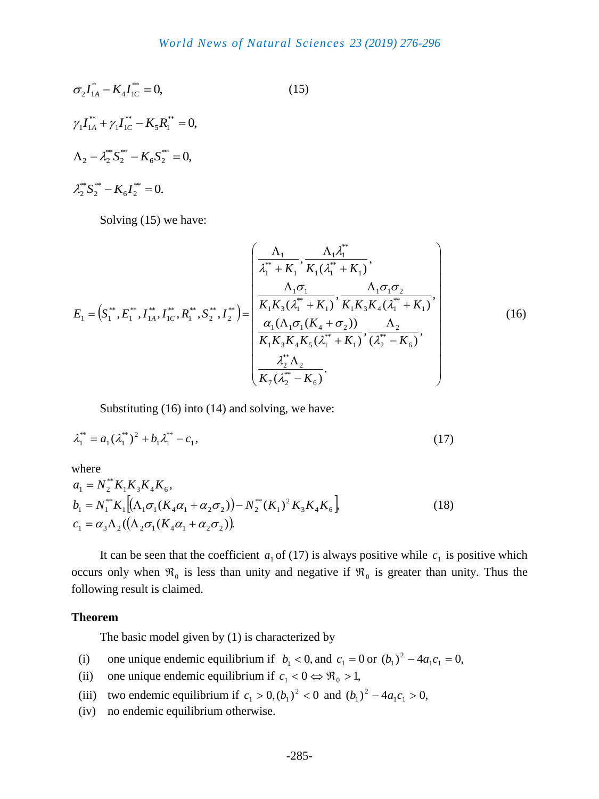$$
\sigma_2 I_{1A}^* - K_4 I_{1C}^{**} = 0,
$$
\n
$$
\gamma_1 I_{1A}^{**} + \gamma_1 I_{1C}^{**} - K_5 R_1^{**} = 0,
$$
\n
$$
\Lambda_2 - \lambda_2^{**} S_2^{**} - K_6 S_2^{**} = 0,
$$
\n
$$
\lambda_2^{**} S_2^{**} - K_6 I_2^{**} = 0.
$$
\n(15)

Solving (15) we have:

$$
E_{1} = (S_{1}^{**}, E_{1}^{**}, I_{1A}^{**}, I_{1C}^{**}, R_{1}^{**}, S_{2}^{**}, I_{2}^{**}) = \begin{pmatrix} \frac{\Lambda_{1}}{\lambda_{1}^{**} + K_{1}}, \frac{\Lambda_{1} \lambda_{1}^{**}}{K_{1}(\lambda_{1}^{**} + K_{1})}, \\ \frac{\Lambda_{1} \sigma_{1}}{K_{1}K_{3}(\lambda_{1}^{**} + K_{1})}, \frac{\Lambda_{1} \sigma_{1} \sigma_{2}}{K_{1}K_{3}K_{4}(\lambda_{1}^{**} + K_{1})}, \\ \frac{\alpha_{1}(\Lambda_{1} \sigma_{1}(K_{4} + \sigma_{2}))}{K_{1}K_{3}K_{4}K_{5}(\lambda_{1}^{**} + K_{1})}, \frac{\Lambda_{2}}{(\lambda_{2}^{**} - K_{6})}, \\ \frac{\lambda_{2}^{**}\Lambda_{2}}{K_{7}(\lambda_{2}^{**} - K_{6})}. \end{pmatrix}
$$
(16)

Substituting (16) into (14) and solving, we have:

$$
\lambda_1^{**} = a_1(\lambda_1^{**})^2 + b_1\lambda_1^{**} - c_1,\tag{17}
$$

where

$$
a_1 = N_2^{**} K_1 K_3 K_4 K_6,
$$
  
\n
$$
b_1 = N_1^{**} K_1 [(\Lambda_1 \sigma_1 (K_4 \alpha_1 + \alpha_2 \sigma_2)) - N_2^{**} (K_1)^2 K_3 K_4 K_6]
$$
  
\n
$$
c_1 = \alpha_3 \Lambda_2 ((\Lambda_2 \sigma_1 (K_4 \alpha_1 + \alpha_2 \sigma_2)))
$$
\n(18)

It can be seen that the coefficient  $a_1$  of (17) is always positive while  $c_1$  is positive which occurs only when  $\mathfrak{R}_0$  is less than unity and negative if  $\mathfrak{R}_0$  is greater than unity. Thus the following result is claimed.

#### **Theorem**

The basic model given by (1) is characterized by

- (i) one unique endemic equilibrium if  $b_1 < 0$ , and  $c_1 = 0$  or  $(b_1)^2 4a_1c_1 = 0$ ,  $(b_1)^2 - 4a_1c_1 =$
- (ii) one unique endemic equilibrium if  $c_1 < 0 \Leftrightarrow \Re_0 > 1$ ,
- (iii) two endemic equilibrium if  $c_1 > 0$ ,  $(b_1)^2 < 0$  and  $(b_1)^2 4a_1c_1 > 0$ ,  $(b_1)^2 - 4a_1c_1 >$
- (iv) no endemic equilibrium otherwise.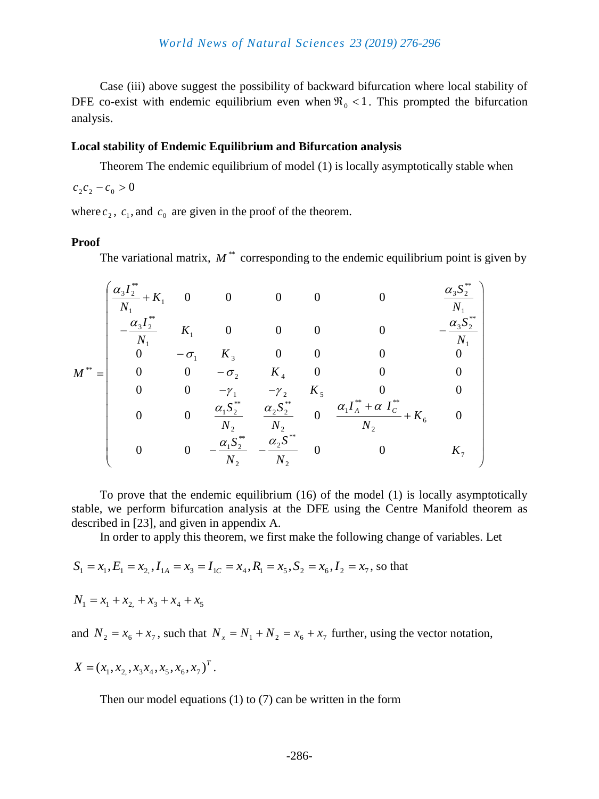Case (iii) above suggest the possibility of backward bifurcation where local stability of DFE co-exist with endemic equilibrium even when  $\Re_0 < 1$ . This prompted the bifurcation analysis.

#### **Local stability of Endemic Equilibrium and Bifurcation analysis**

Theorem The endemic equilibrium of model (1) is locally asymptotically stable when

 $c_2 c_2 - c_0 > 0$ 

where  $c_2$ ,  $c_1$ , and  $c_0$  are given in the proof of the theorem.

#### **Proof**

The variational matrix,  $M^*$  corresponding to the endemic equilibrium point is given by

$$
M^{**} = \begin{pmatrix} \frac{\alpha_3 I_2^{**}}{N_1} + K_1 & 0 & 0 & 0 & 0 & 0 & \frac{\alpha_3 S_2^{**}}{N_1} \\ -\frac{\alpha_3 I_2^{**}}{N_1} & K_1 & 0 & 0 & 0 & 0 & -\frac{\alpha_3 S_2^{**}}{N_1} \\ 0 & -\sigma_1 & K_3 & 0 & 0 & 0 & 0 \\ 0 & 0 & -\sigma_2 & K_4 & 0 & 0 & 0 \\ 0 & 0 & -\gamma_1 & -\gamma_2 & K_5 & 0 & 0 \\ 0 & 0 & \frac{\alpha_1 S_2^{**}}{N_2} & \frac{\alpha_2 S_2^{**}}{N_2} & 0 & \frac{\alpha_1 I_A^{**} + \alpha I_C^{**}}{N_2} + K_6 & 0 \\ 0 & 0 & -\frac{\alpha_1 S_2^{**}}{N_2} & -\frac{\alpha_2 S_2^{**}}{N_2} & 0 & 0 & K_7 \end{pmatrix}
$$

To prove that the endemic equilibrium (16) of the model (1) is locally asymptotically stable, we perform bifurcation analysis at the DFE using the Centre Manifold theorem as described in [23], and given in appendix A.

In order to apply this theorem, we first make the following change of variables. Let

$$
S_1 = x_1, E_1 = x_2, I_{1A} = x_3 = I_{1C} = x_4, R_1 = x_5, S_2 = x_6, I_2 = x_7
$$
, so that  
 $N_1 = x_1 + x_2 + x_3 + x_4 + x_5$ 

and  $N_2 = x_6 + x_7$ , such that  $N_x = N_1 + N_2 = x_6 + x_7$  further, using the vector notation,

$$
X = (x_1, x_2, x_3x_4, x_5, x_6, x_7)^T.
$$

Then our model equations (1) to (7) can be written in the form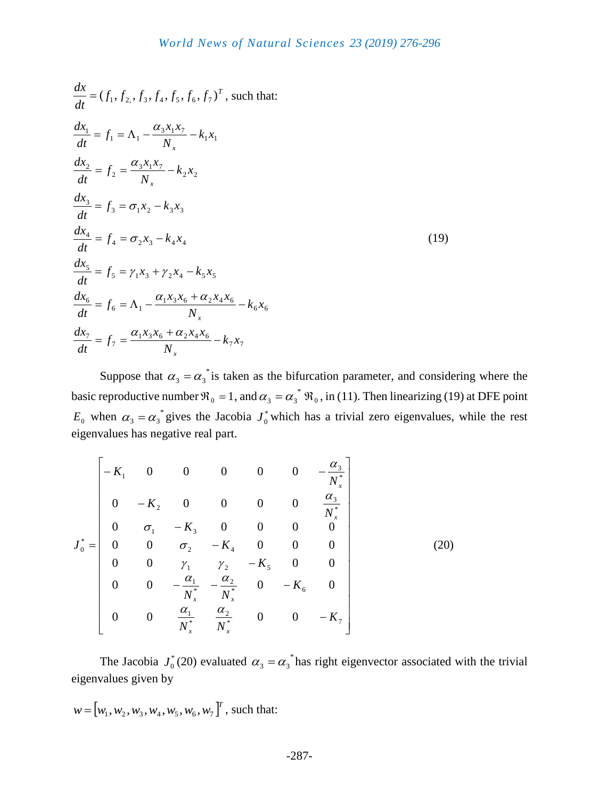$$
\frac{dx}{dt} = (f_1, f_2, f_3, f_4, f_5, f_6, f_7)^T, \text{ such that:}
$$
\n
$$
\frac{dx_1}{dt} = f_1 = \Lambda_1 - \frac{\alpha_3 x_1 x_7}{N_x} - k_1 x_1
$$
\n
$$
\frac{dx_2}{dt} = f_2 = \frac{\alpha_3 x_1 x_7}{N_x} - k_2 x_2
$$
\n
$$
\frac{dx_3}{dt} = f_3 = \sigma_1 x_2 - k_3 x_3
$$
\n
$$
\frac{dx_4}{dt} = f_4 = \sigma_2 x_3 - k_4 x_4
$$
\n
$$
\frac{dx_5}{dt} = f_5 = \gamma_1 x_3 + \gamma_2 x_4 - k_5 x_5
$$
\n
$$
\frac{dx_6}{dt} = f_6 = \Lambda_1 - \frac{\alpha_1 x_3 x_6 + \alpha_2 x_4 x_6}{N_x} - k_6 x_6
$$
\n
$$
\frac{dx_7}{dt} = f_7 = \frac{\alpha_1 x_3 x_6 + \alpha_2 x_4 x_6}{N_x} - k_7 x_7
$$

Suppose that  $\alpha_3 = \alpha_3^*$  is taken as the bifurcation parameter, and considering where the basic reproductive number  $\Re_0 = 1$ , and  $\alpha_3 = \alpha_3^* \Re_0$ , in (11). Then linearizing (19) at DFE point  $E_0$  when  $\alpha_3 = \alpha_3^*$  gives the Jacobia  $J_0^*$  $J_0^*$  which has a trivial zero eigenvalues, while the rest eigenvalues has negative real part.

$$
J_0^* = \begin{bmatrix} -K_1 & 0 & 0 & 0 & 0 & 0 & -\frac{\alpha_3}{N_x^*} \\ 0 & -K_2 & 0 & 0 & 0 & 0 & \frac{\alpha_3}{N_x^*} \\ 0 & \sigma_1 & -K_3 & 0 & 0 & 0 & 0 \\ 0 & 0 & \sigma_2 & -K_4 & 0 & 0 & 0 \\ 0 & 0 & \gamma_1 & \gamma_2 & -K_5 & 0 & 0 \\ 0 & 0 & -\frac{\alpha_1}{N_x^*} & -\frac{\alpha_2}{N_x^*} & 0 & -K_6 & 0 \\ 0 & 0 & \frac{\alpha_1}{N_x^*} & \frac{\alpha_2}{N_x^*} & 0 & 0 & -K_7 \end{bmatrix}
$$
(20)

The Jacobia  $J_0^*$  $J_0^*(20)$  evaluated  $\alpha_3 = \alpha_3^*$  has right eigenvector associated with the trivial eigenvalues given by

$$
w = [w_1, w_2, w_3, w_4, w_5, w_6, w_7]^T
$$
, such that: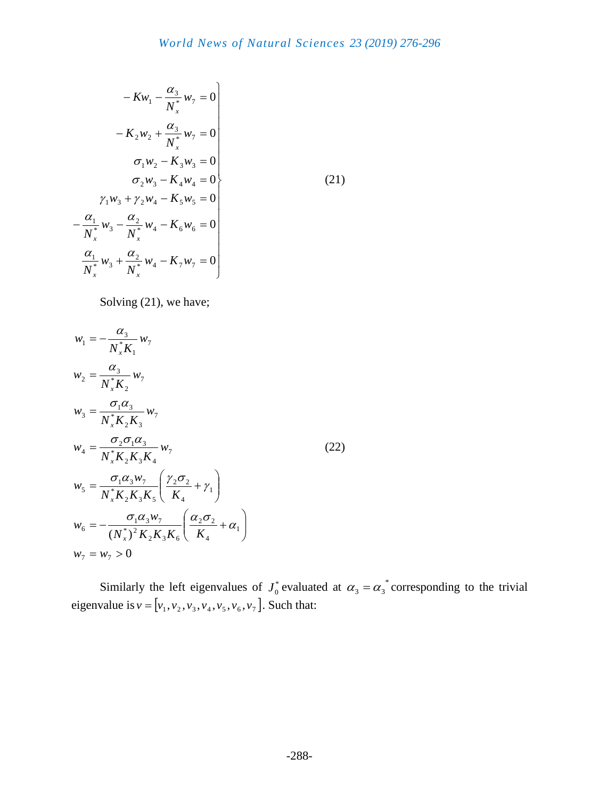$$
-Kw_{1} - \frac{\alpha_{3}}{N_{x}^{*}}w_{7} = 0
$$
  
\n
$$
-K_{2}w_{2} + \frac{\alpha_{3}}{N_{x}^{*}}w_{7} = 0
$$
  
\n
$$
\sigma_{1}w_{2} - K_{3}w_{3} = 0
$$
  
\n
$$
\sigma_{2}w_{3} - K_{4}w_{4} = 0
$$
  
\n
$$
\gamma_{1}w_{3} + \gamma_{2}w_{4} - K_{5}w_{5} = 0
$$
  
\n
$$
-\frac{\alpha_{1}}{N_{x}^{*}}w_{3} - \frac{\alpha_{2}}{N_{x}^{*}}w_{4} - K_{6}w_{6} = 0
$$
  
\n
$$
\frac{\alpha_{1}}{N_{x}^{*}}w_{3} + \frac{\alpha_{2}}{N_{x}^{*}}w_{4} - K_{7}w_{7} = 0
$$
  
\n(21)

Solving  $(21)$ , we have;

$$
w_1 = -\frac{\alpha_3}{N_x^* K_1} w_7
$$
  
\n
$$
w_2 = \frac{\alpha_3}{N_x^* K_2} w_7
$$
  
\n
$$
w_3 = \frac{\sigma_1 \alpha_3}{N_x^* K_2 K_3} w_7
$$
  
\n
$$
w_4 = \frac{\sigma_2 \sigma_1 \alpha_3}{N_x^* K_2 K_3 K_4} w_7
$$
  
\n
$$
w_5 = \frac{\sigma_1 \alpha_3 w_7}{N_x^* K_2 K_3 K_5} \left(\frac{\gamma_2 \sigma_2}{K_4} + \gamma_1\right)
$$
  
\n
$$
w_6 = -\frac{\sigma_1 \alpha_3 w_7}{(N_x^*)^2 K_2 K_3 K_6} \left(\frac{\alpha_2 \sigma_2}{K_4} + \alpha_1\right)
$$
  
\n
$$
w_7 = w_7 > 0
$$
  
\n(22)

Similarly the left eigenvalues of  $J_0^*$  $J_0^*$  evaluated at  $\alpha_3 = \alpha_3^*$  corresponding to the trivial eigenvalue is  $v = [v_1, v_2, v_3, v_4, v_5, v_6, v_7]$ . Such that: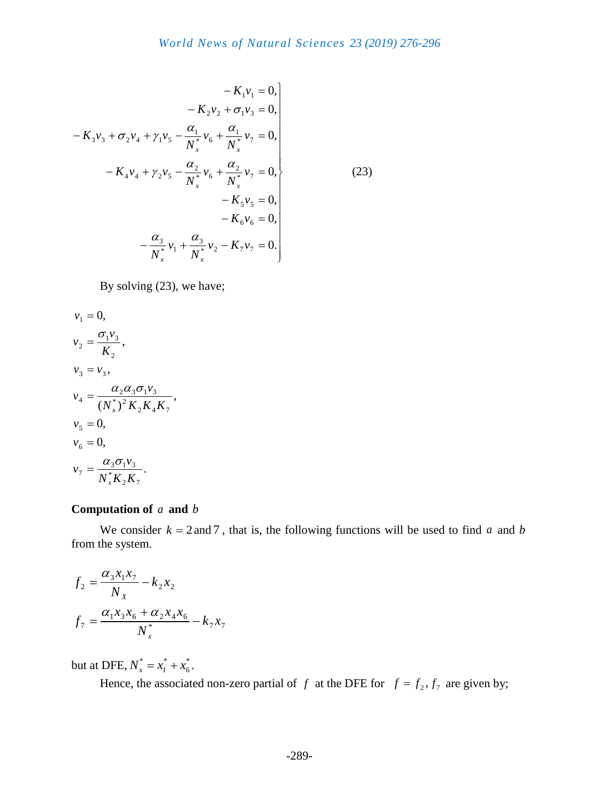$$
-K_{1}v_{1} = 0,
$$
  
\n
$$
-K_{2}v_{2} + \sigma_{1}v_{3} = 0,
$$
  
\n
$$
-K_{3}v_{3} + \sigma_{2}v_{4} + \gamma_{1}v_{5} - \frac{\alpha_{1}}{N_{x}^{*}}v_{6} + \frac{\alpha_{1}}{N_{x}^{*}}v_{7} = 0,
$$
  
\n
$$
-K_{4}v_{4} + \gamma_{2}v_{5} - \frac{\alpha_{2}}{N_{x}^{*}}v_{6} + \frac{\alpha_{2}}{N_{x}^{*}}v_{7} = 0,
$$
  
\n
$$
-K_{5}v_{5} = 0,
$$
  
\n
$$
-K_{6}v_{6} = 0,
$$
  
\n
$$
-\frac{\alpha_{3}}{N_{x}^{*}}v_{1} + \frac{\alpha_{3}}{N_{x}^{*}}v_{2} - K_{7}v_{7} = 0.
$$
\n(23)

By solving (23), we have;

$$
v_1 = 0,
$$
  
\n
$$
v_2 = \frac{\sigma_1 v_3}{K_2},
$$
  
\n
$$
v_3 = v_3,
$$
  
\n
$$
v_4 = \frac{\alpha_2 \alpha_3 \sigma_1 v_3}{(N_x^*)^2 K_2 K_4 K_7},
$$
  
\n
$$
v_5 = 0,
$$
  
\n
$$
v_6 = 0,
$$
  
\n
$$
v_7 = \frac{\alpha_3 \sigma_1 v_3}{N_x^* K_2 K_7}.
$$

#### **Computation of**  *a* **and**  *b*

We consider  $k = 2$  and 7, that is, the following functions will be used to find a and b from the system.

$$
f_2 = \frac{\alpha_3 x_1 x_7}{N_X} - k_2 x_2
$$
  

$$
f_7 = \frac{\alpha_1 x_3 x_6 + \alpha_2 x_4 x_6}{N_x^*} - k_7 x_7
$$

but at DFE,  $N_r^* = x_1^* + x_6^*$ 6 \*  $N_x^* = x_1^* + x_6^*$ .

Hence, the associated non-zero partial of f at the DFE for  $f = f_2, f_7$  are given by;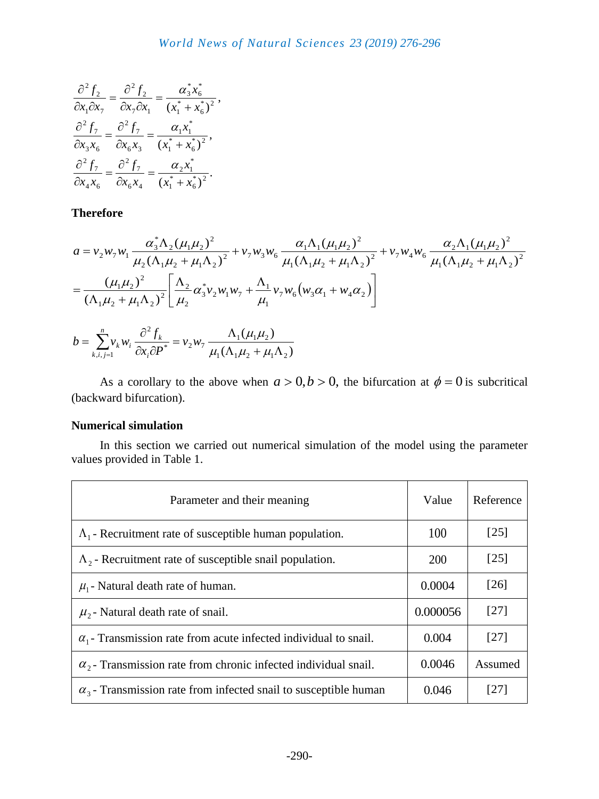$$
\frac{\partial^2 f_2}{\partial x_1 \partial x_7} = \frac{\partial^2 f_2}{\partial x_7 \partial x_1} = \frac{\alpha_3^* x_6^*}{(x_1^* + x_6^*)^2},
$$

$$
\frac{\partial^2 f_7}{\partial x_3 x_6} = \frac{\partial^2 f_7}{\partial x_6 x_3} = \frac{\alpha_1 x_1^*}{(x_1^* + x_6^*)^2},
$$

$$
\frac{\partial^2 f_7}{\partial x_4 x_6} = \frac{\partial^2 f_7}{\partial x_6 x_4} = \frac{\alpha_2 x_1^*}{(x_1^* + x_6^*)^2}.
$$

**Therefore**

$$
a = v_2 w_7 w_1 \frac{\alpha_3^* \Lambda_2 (\mu_1 \mu_2)^2}{\mu_2 (\Lambda_1 \mu_2 + \mu_1 \Lambda_2)^2} + v_7 w_3 w_6 \frac{\alpha_1 \Lambda_1 (\mu_1 \mu_2)^2}{\mu_1 (\Lambda_1 \mu_2 + \mu_1 \Lambda_2)^2} + v_7 w_4 w_6 \frac{\alpha_2 \Lambda_1 (\mu_1 \mu_2)^2}{\mu_1 (\Lambda_1 \mu_2 + \mu_1 \Lambda_2)^2}
$$
  
= 
$$
\frac{(\mu_1 \mu_2)^2}{(\Lambda_1 \mu_2 + \mu_1 \Lambda_2)^2} \left[ \frac{\Lambda_2}{\mu_2} \alpha_3^* v_2 w_1 w_7 + \frac{\Lambda_1}{\mu_1} v_7 w_6 (w_3 \alpha_1 + w_4 \alpha_2) \right]
$$

$$
b = \sum_{k,i,j=1}^{n} v_k w_i \frac{\partial^2 f_k}{\partial x_i \partial P^*} = v_2 w_7 \frac{\Lambda_1(\mu_1 \mu_2)}{\mu_1(\Lambda_1 \mu_2 + \mu_1 \Lambda_2)}
$$

As a corollary to the above when  $a > 0, b > 0$ , the bifurcation at  $\phi = 0$  is subcritical (backward bifurcation).

## **Numerical simulation**

In this section we carried out numerical simulation of the model using the parameter values provided in Table 1.

| Parameter and their meaning                                                | Value      | Reference          |
|----------------------------------------------------------------------------|------------|--------------------|
| $\Lambda_1$ - Recruitment rate of susceptible human population.            | 100        | $\lceil 25 \rceil$ |
| $\Lambda$ <sub>2</sub> - Recruitment rate of susceptible snail population. | <b>200</b> | $[25]$             |
| $\mu_1$ - Natural death rate of human.                                     | 0.0004     | [26]               |
| $\mu$ <sub>2</sub> - Natural death rate of snail.                          | 0.000056   | [27]               |
| $\alpha_1$ - Transmission rate from acute infected individual to snail.    | 0.004      | [27]               |
| $\alpha_{2}$ - Transmission rate from chronic infected individual snail.   | 0.0046     | Assumed            |
| $\alpha_{3}$ - Transmission rate from infected snail to susceptible human  | 0.046      | [27]               |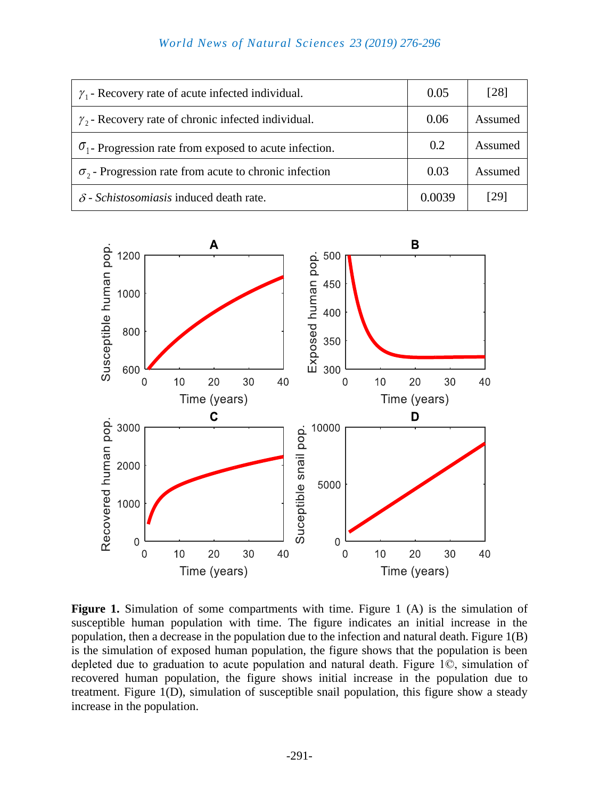## *World News of Natural Sciences 23 (2019) 276-296*

| $\gamma_1$ - Recovery rate of acute infected individual.       | 0.05   | [28]    |
|----------------------------------------------------------------|--------|---------|
| $\gamma_2$ - Recovery rate of chronic infected individual.     | 0.06   | Assumed |
| $\sigma_1$ - Progression rate from exposed to acute infection. | 0.2    | Assumed |
| $\sigma_2$ - Progression rate from acute to chronic infection  | 0.03   | Assumed |
| $\delta$ - Schistosomiasis induced death rate.                 | 0.0039 | [29]    |



Figure 1. Simulation of some compartments with time. Figure 1 (A) is the simulation of susceptible human population with time. The figure indicates an initial increase in the population, then a decrease in the population due to the infection and natural death. Figure 1(B) is the simulation of exposed human population, the figure shows that the population is been depleted due to graduation to acute population and natural death. Figure 1©, simulation of recovered human population, the figure shows initial increase in the population due to treatment. Figure 1(D), simulation of susceptible snail population, this figure show a steady increase in the population.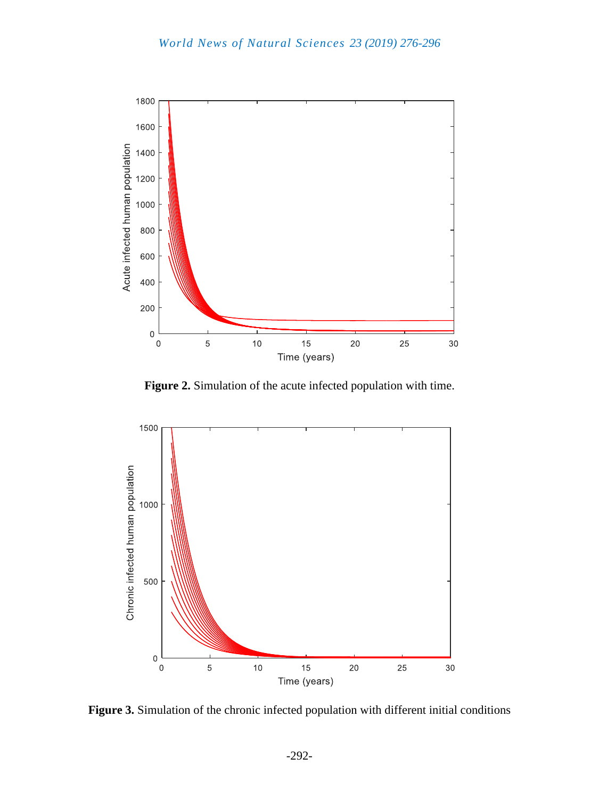

**Figure 2.** Simulation of the acute infected population with time.



**Figure 3.** Simulation of the chronic infected population with different initial conditions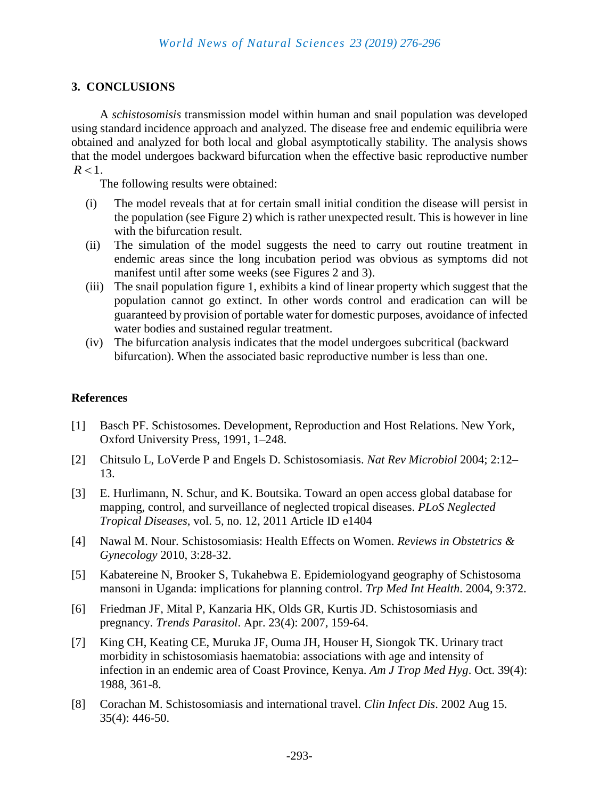## **3. CONCLUSIONS**

A *schistosomisis* transmission model within human and snail population was developed using standard incidence approach and analyzed. The disease free and endemic equilibria were obtained and analyzed for both local and global asymptotically stability. The analysis shows that the model undergoes backward bifurcation when the effective basic reproductive number  $R < 1$ .

The following results were obtained:

- (i) The model reveals that at for certain small initial condition the disease will persist in the population (see Figure 2) which is rather unexpected result. This is however in line with the bifurcation result.
- (ii) The simulation of the model suggests the need to carry out routine treatment in endemic areas since the long incubation period was obvious as symptoms did not manifest until after some weeks (see Figures 2 and 3).
- (iii) The snail population figure 1, exhibits a kind of linear property which suggest that the population cannot go extinct. In other words control and eradication can will be guaranteed by provision of portable water for domestic purposes, avoidance of infected water bodies and sustained regular treatment.
- (iv) The bifurcation analysis indicates that the model undergoes subcritical (backward bifurcation). When the associated basic reproductive number is less than one.

## **References**

- [1] Basch PF. Schistosomes. Development, Reproduction and Host Relations. New York, Oxford University Press, 1991, 1–248.
- [2] Chitsulo L, LoVerde P and Engels D. Schistosomiasis. *Nat Rev Microbiol* 2004; 2:12– 13.
- [3] E. Hurlimann, N. Schur, and K. Boutsika. Toward an open access global database for mapping, control, and surveillance of neglected tropical diseases. *PLoS Neglected Tropical Diseases*, vol. 5, no. 12, 2011 Article ID e1404
- [4] [Nawal M. Nour. Schistosomiasis: Health Effects on Women.](javascript:void(0);) *Reviews in Obstetrics & Gynecology* [2010, 3:28-32.](javascript:void(0);)
- [5] [Kabatereine N, Brooker S, Tukahebwa E. Epidemiologyand geography of Schistosoma](javascript:void(0);)  [mansoni in Uganda: implications for planning control.](javascript:void(0);) *Trp Med Int Health*. 2004, 9:372.
- [6] [Friedman JF, Mital P, Kanzaria HK, Olds GR, Kurtis JD. Schistosomiasis and](javascript:void(0);)  pregnancy. *Trends Parasitol*[. Apr. 23\(4\): 2007, 159-64.](javascript:void(0);)
- [7] [King CH, Keating CE, Muruka JF, Ouma JH, Houser H, Siongok TK. Urinary tract](javascript:void(0);)  [morbidity in schistosomiasis haematobia: associations with age and intensity of](javascript:void(0);)  infection in an endemic [area of Coast Province, Kenya.](javascript:void(0);) *Am J Trop Med Hyg*. Oct. 39(4): [1988, 361-8.](javascript:void(0);)
- [8] [Corachan M. Schistosomiasis and international travel.](javascript:void(0);) *Clin Infect Dis*. 2002 Aug 15. 35(4): [446-50.](javascript:void(0);)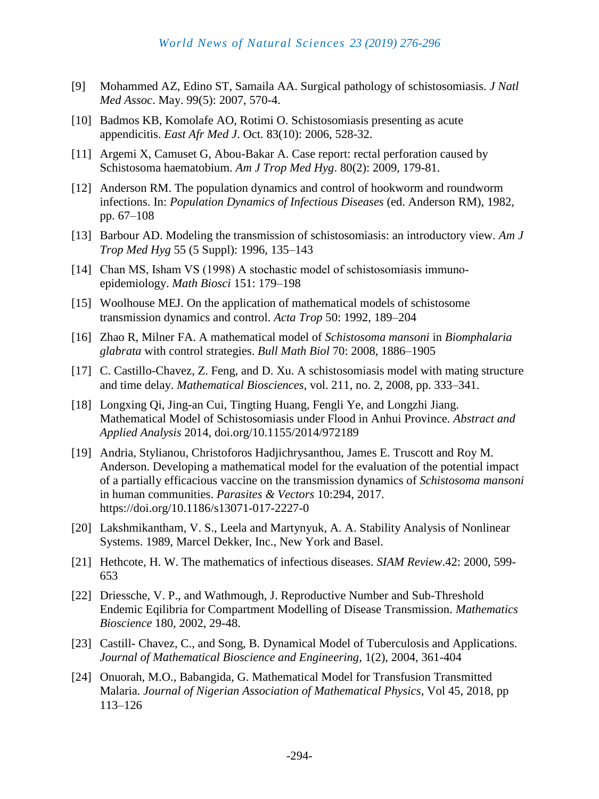- [9] [Mohammed AZ, Edino ST, Samaila AA.](javascript:void(0);) Surgical pathology of schistosomiasis. *J Natl Med Assoc*[. May. 99\(5\):](javascript:void(0);) 2007, 570-4.
- [10] [Badmos KB, Komolafe AO, Rotimi O.](javascript:void(0);) Schistosomiasis presenting as acute appendicitis. *East Afr Med J*[. Oct. 83\(10\): 2006, 528-32.](javascript:void(0);)
- [11] [Argemi X, Camuset G, Abou-Bakar A. Case report: rectal perforation caused by](javascript:void(0);)  [Schistosoma haematobium.](javascript:void(0);) *Am J Trop Med Hyg*. 80(2): 2009, 179-81.
- [12] Anderson RM. The population dynamics and control of hookworm and roundworm infections. In: *Population Dynamics of Infectious Diseases* (ed. Anderson RM), 1982, pp. 67–108
- [13] Barbour AD. Modeling the transmission of schistosomiasis: an introductory view. *Am J Trop Med Hyg* 55 (5 Suppl): 1996, 135–143
- [14] Chan MS, Isham VS (1998) A stochastic model of schistosomiasis immunoepidemiology. *Math Biosci* 151: 179–198
- [15] Woolhouse MEJ. On the application of mathematical models of schistosome transmission dynamics and control. *Acta Trop* 50: 1992, 189–204
- [16] Zhao R, Milner FA. A mathematical model of *Schistosoma mansoni* in *Biomphalaria glabrata* with control strategies. *Bull Math Biol* 70: 2008, 1886–1905
- [17] C. Castillo-Chavez, Z. Feng, and D. Xu. A schistosomiasis model with mating structure and time delay. *Mathematical Biosciences*, vol. 211, no. 2, 2008, pp. 333–341.
- [18] Longxing Qi, Jing-an Cui, Tingting Huang, Fengli Ye, and Longzhi Jiang. Mathematical Model of Schistosomiasis under Flood in Anhui Province. *Abstract and Applied Analysis* 2014, doi.org/10.1155/2014/972189
- [19] Andria, Stylianou, Christoforos Hadjichrysanthou, James E. Truscott and Roy M. Anderson. Developing a mathematical model for the evaluation of the potential impact of a partially efficacious vaccine on the transmission dynamics of *Schistosoma mansoni* in human communities. *Parasites & Vectors* 10:294, 2017. https://doi.org/10.1186/s13071-017-2227-0
- [20] Lakshmikantham, V. S., Leela and Martynyuk, A. A. Stability Analysis of Nonlinear Systems. 1989, Marcel Dekker, Inc., New York and Basel.
- [21] Hethcote, H. W. The mathematics of infectious diseases. *SIAM Review*.42: 2000, 599- 653
- [22] Driessche, V. P., and Wathmough, J. Reproductive Number and Sub-Threshold Endemic Eqilibria for Compartment Modelling of Disease Transmission. *Mathematics Bioscience* 180, 2002, 29-48.
- [23] Castill- Chavez, C., and Song, B. Dynamical Model of Tuberculosis and Applications. *Journal of Mathematical Bioscience and Engineering,* 1(2), 2004, 361-404
- [24] Onuorah, M.O., Babangida, G. Mathematical Model for Transfusion Transmitted Malaria. *Journal of Nigerian Association of Mathematical Physics*, Vol 45, 2018, pp 113–126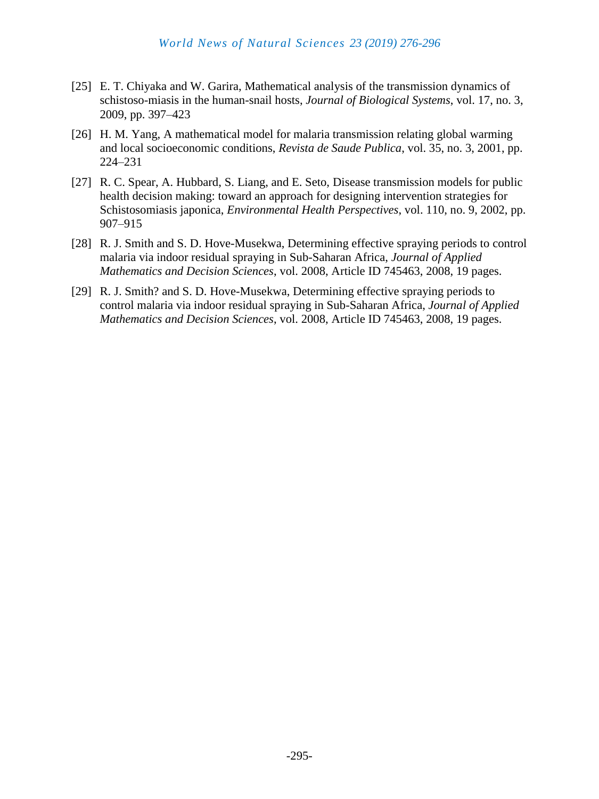- [25] E. T. Chiyaka and W. Garira, Mathematical analysis of the transmission dynamics of schistoso-miasis in the human-snail hosts, *Journal of Biological Systems*, vol. 17, no. 3, 2009, pp. 397–423
- [26] H. M. Yang, A mathematical model for malaria transmission relating global warming and local socioeconomic conditions, *Revista de Saude Publica*, vol. 35, no. 3, 2001, pp. 224–231
- [27] R. C. Spear, A. Hubbard, S. Liang, and E. Seto, Disease transmission models for public health decision making: toward an approach for designing intervention strategies for Schistosomiasis japonica, *Environmental Health Perspectives*, vol. 110, no. 9, 2002, pp. 907–915
- [28] R. J. Smith and S. D. Hove-Musekwa, Determining effective spraying periods to control malaria via indoor residual spraying in Sub-Saharan Africa, *Journal of Applied Mathematics and Decision Sciences*, vol. 2008, Article ID 745463, 2008, 19 pages.
- [29] R. J. Smith? and S. D. Hove-Musekwa, Determining effective spraying periods to control malaria via indoor residual spraying in Sub-Saharan Africa, *Journal of Applied Mathematics and Decision Sciences*, vol. 2008, Article ID 745463, 2008, 19 pages.